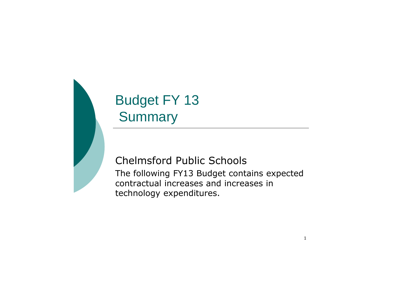# Budget FY 13 **Summary**

Chelmsford Public Schools The following FY13 Budget contains expected contractual increases and increases in technology expenditures.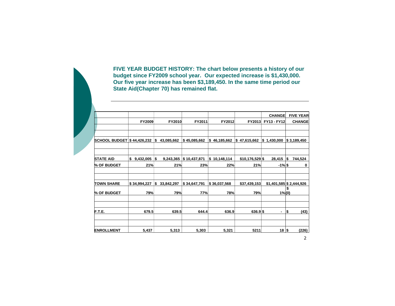**FIVE YEAR BUDGET HISTORY: The chart below presents a history of our budget since FY2009 school year. Our expected increase is \$1,430,000. Our five year increase has been \$3,189,450. In the same time period our State Aid(Chapter 70) has remained flat.**

|                            |                 |    |            |              |     |              |                  | <b>CHANGE</b>            |                | <b>FIVE YEAR</b>        |
|----------------------------|-----------------|----|------------|--------------|-----|--------------|------------------|--------------------------|----------------|-------------------------|
|                            | FY2009          |    | FY2010     | FY2011       |     | FY2012       | FY2013           | FY13 - FY12              |                | <b>CHANGE</b>           |
| SCHOOL BUDGET \$44,426,232 |                 | S  | 43,085,662 | \$45,085,662 | 5   | 46,185,662   | \$47,615,662     | \$1,430,000              |                | $\frac{1}{3}$ 3,189,450 |
| <b>STATE AID</b>           | 9,432,005<br>\$ | S  | 9,243,365  | \$10,437,871 | Ι\$ | 10,148,114   | $$10,176,529$ \$ | 28,415                   | ۱\$            | 744,524                 |
| % OF BUDGET                | 21%             |    | 21%        | 23%          |     | 22%          | 21%              | $-1\%$ \$                |                | 0                       |
| <b>TOWN SHARE</b>          | \$34,994,227    | \$ | 33,842,297 | \$34,647,791 |     | \$36,037,568 | \$37,439,153     | $$1,401,585$ \$2,444,926 |                |                         |
| % OF BUDGET                | 79%             |    | 79%        | 77%          |     | 78%          | 79%              |                          | \$<br>$1\%(0)$ |                         |
| F.T.E.                     | 679.5           |    | 639.5      | 644.4        |     | 636.9        | 636.9 \$         | ٠                        | ا\$            | (43)                    |
| <b>ENROLLMENT</b>          | 5,437           |    | 5,313      | 5,303        |     | 5,321        | 5211             | 18 S                     |                | (226)                   |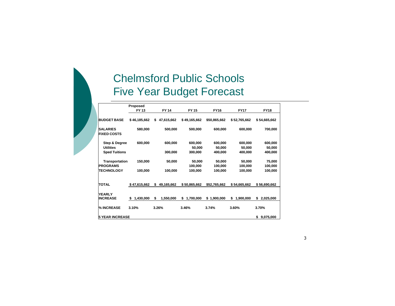## Chelmsford Public Schools Five Year Budget Forecast

|                                       | Proposed       |                  |                 |              |                 |                 |
|---------------------------------------|----------------|------------------|-----------------|--------------|-----------------|-----------------|
|                                       | FY 13          | <b>FY 14</b>     | <b>FY 15</b>    | <b>FY16</b>  | <b>FY17</b>     | <b>FY18</b>     |
|                                       |                |                  |                 |              |                 |                 |
| <b>BUDGET BASE</b>                    | \$46,185,662   | 47,615,662<br>\$ | \$49,165,662    | \$50,865,662 | \$52,765,662    | \$54,665,662    |
| <b>SALARIES</b><br><b>FIXED COSTS</b> | 580,000        | 500,000          | 500,000         | 600,000      | 600.000         | 700,000         |
| <b>Step &amp; Degree</b>              | 600,000        | 600,000          | 600,000         | 600.000      | 600.000         | 600,000         |
| <b>Utilities</b>                      |                |                  | 50.000          | 50,000       | 50.000          | 50,000          |
| <b>Sped Tuitions</b>                  |                | 300,000          | 300,000         | 400,000      | 400,000         | 400.000         |
|                                       |                |                  |                 |              |                 |                 |
| Transportation                        | 150,000        | 50,000           | 50.000          | 50,000       | 50.000          | 75,000          |
| <b>PROGRAMS</b>                       |                |                  | 100,000         | 100,000      | 100,000         | 100,000         |
| <b>TECHNOLOGY</b>                     | 100.000        | 100,000          | 100,000         | 100,000      | 100,000         | 100,000         |
|                                       |                |                  |                 |              |                 |                 |
| <b>TOTAL</b>                          | \$47,615,662   | \$<br>49,165,662 | \$50,865,662    | \$52,765,662 | \$54,665,662    | \$56,690,662    |
| <b>YEARLY</b><br><b>INCREASE</b>      | 1,430,000<br>S | \$<br>1,550,000  | \$<br>1,700,000 | \$1,900,000  | \$<br>1,900,000 | \$<br>2,025,000 |
|                                       |                |                  |                 |              |                 |                 |
| % INCREASE                            | 3.10%          | 3.26%            | 3.46%           | 3.74%        | 3.60%           | 3.70%           |
| <b>5 YEAR INCREASE</b>                |                |                  |                 |              |                 | \$<br>9,075,000 |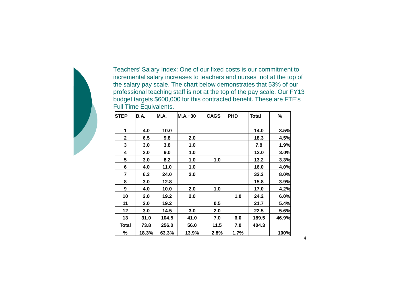Teachers' Salary Index: One of our fixed costs is our commitment to incremental salary increases to teachers and nurses not at the top of the salary pay scale. The chart below demonstrates that 53% of our professional teaching staff is not at the top of the pay scale. Our FY13 budget targets \$600,000 for this contracted benefit. These are FTE's Full Time Equivalents.

| <b>STEP</b>  | B.A.  | <b>M.A.</b> | $M.A.+30$ | <b>CAGS</b> | <b>PHD</b> | <b>Total</b> | %     |
|--------------|-------|-------------|-----------|-------------|------------|--------------|-------|
|              |       |             |           |             |            |              |       |
| 1            | 4.0   | 10.0        |           |             |            | 14.0         | 3.5%  |
| $\mathbf 2$  | 6.5   | 9.8         | 2.0       |             |            | 18.3         | 4.5%  |
| 3            | 3.0   | 3.8         | 1.0       |             |            | 7.8          | 1.9%  |
| 4            | 2.0   | 9.0         | 1.0       |             |            | 12.0         | 3.0%  |
| 5            | 3.0   | 8.2         | 1.0       | 1.0         |            | 13.2         | 3.3%  |
| 6            | 4.0   | 11.0        | 1.0       |             |            | 16.0         | 4.0%  |
| 7            | 6.3   | 24.0        | 2.0       |             |            | 32.3         | 8.0%  |
| 8            | 3.0   | 12.8        |           |             |            | 15.8         | 3.9%  |
| 9            | 4.0   | 10.0        | 2.0       | 1.0         |            | 17.0         | 4.2%  |
| 10           | 2.0   | 19.2        | 2.0       |             | 1.0        | 24.2         | 6.0%  |
| 11           | 2.0   | 19.2        |           | 0.5         |            | 21.7         | 5.4%  |
| 12           | 3.0   | 14.5        | 3.0       | 2.0         |            | 22.5         | 5.6%  |
| 13           | 31.0  | 104.5       | 41.0      | 7.0         | 6.0        | 189.5        | 46.9% |
| <b>Total</b> | 73.8  | 256.0       | 56.0      | 11.5        | 7.0        | 404.3        |       |
| %            | 18.3% | 63.3%       | 13.9%     | 2.8%        | 1.7%       |              | 100%  |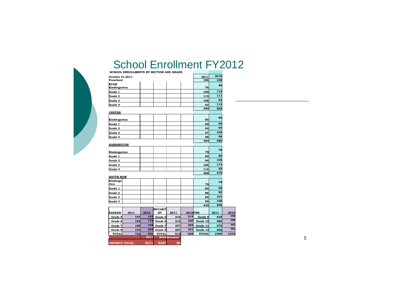### School Enrollment FY2012

 $\mathcal{L}$ 

| 193              | 205                                                                         | Grade 8 | 257              | 241                                                                             | Grade 12        | 406                                                                                                                         |                                                                                                                  |
|------------------|-----------------------------------------------------------------------------|---------|------------------|---------------------------------------------------------------------------------|-----------------|-----------------------------------------------------------------------------------------------------------------------------|------------------------------------------------------------------------------------------------------------------|
|                  |                                                                             |         |                  | 255                                                                             |                 |                                                                                                                             |                                                                                                                  |
|                  |                                                                             |         |                  |                                                                                 |                 |                                                                                                                             |                                                                                                                  |
|                  |                                                                             |         |                  |                                                                                 |                 |                                                                                                                             |                                                                                                                  |
|                  |                                                                             |         |                  |                                                                                 |                 |                                                                                                                             |                                                                                                                  |
|                  |                                                                             |         |                  |                                                                                 | 430             |                                                                                                                             |                                                                                                                  |
|                  |                                                                             |         |                  |                                                                                 | 99              | 100                                                                                                                         |                                                                                                                  |
|                  |                                                                             |         |                  |                                                                                 | 85              | 101                                                                                                                         |                                                                                                                  |
|                  |                                                                             |         |                  |                                                                                 | 86              | 82                                                                                                                          |                                                                                                                  |
|                  |                                                                             |         |                  |                                                                                 | 84              | 92                                                                                                                          |                                                                                                                  |
|                  |                                                                             |         |                  |                                                                                 | 76              | 75                                                                                                                          |                                                                                                                  |
| <b>SOUTH ROW</b> |                                                                             |         |                  |                                                                                 |                 |                                                                                                                             |                                                                                                                  |
|                  |                                                                             |         |                  |                                                                                 | 488             | 475                                                                                                                         |                                                                                                                  |
|                  |                                                                             |         |                  |                                                                                 |                 |                                                                                                                             |                                                                                                                  |
|                  |                                                                             |         |                  |                                                                                 |                 |                                                                                                                             |                                                                                                                  |
|                  |                                                                             |         |                  |                                                                                 |                 |                                                                                                                             |                                                                                                                  |
| Kindergarten     |                                                                             |         |                  |                                                                                 | 79              |                                                                                                                             |                                                                                                                  |
|                  |                                                                             |         |                  |                                                                                 |                 |                                                                                                                             |                                                                                                                  |
|                  |                                                                             |         |                  |                                                                                 | 464             | 480                                                                                                                         |                                                                                                                  |
|                  |                                                                             |         |                  |                                                                                 | 98              | 98                                                                                                                          |                                                                                                                  |
|                  |                                                                             |         |                  |                                                                                 | 97              | 104                                                                                                                         |                                                                                                                  |
|                  |                                                                             |         |                  |                                                                                 | 94              | 94                                                                                                                          |                                                                                                                  |
|                  |                                                                             |         |                  |                                                                                 |                 | 98                                                                                                                          |                                                                                                                  |
|                  |                                                                             |         |                  |                                                                                 |                 | 86                                                                                                                          |                                                                                                                  |
|                  |                                                                             |         |                  |                                                                                 |                 |                                                                                                                             |                                                                                                                  |
|                  |                                                                             |         |                  |                                                                                 | 93              |                                                                                                                             |                                                                                                                  |
|                  |                                                                             |         |                  |                                                                                 | 108             |                                                                                                                             |                                                                                                                  |
|                  |                                                                             |         |                  |                                                                                 | 113             |                                                                                                                             |                                                                                                                  |
|                  |                                                                             |         |                  |                                                                                 | 100             | 112                                                                                                                         |                                                                                                                  |
| Kindergarten     |                                                                             |         |                  |                                                                                 | 76              |                                                                                                                             |                                                                                                                  |
|                  |                                                                             |         |                  |                                                                                 |                 |                                                                                                                             |                                                                                                                  |
|                  |                                                                             |         |                  |                                                                                 |                 |                                                                                                                             |                                                                                                                  |
|                  | Preschool<br>Kindergarten<br><b>HARRINGTON</b><br>2011<br>157<br>192<br>180 | 2010    | HY<br>192<br>194 | <b>MCCART</b><br>2011<br>Grade 5<br>216<br>178 Grade 6<br>215<br>Grade 7<br>227 | October 31,2011 | 2011<br>106<br>490<br>85<br>90<br>95<br>94<br>106<br>114<br><b>2010CHS</b><br>219<br>Grade 9<br>220<br>Grade 10<br>Grade 11 | 2010<br>100<br>96<br>111<br>93<br>113<br>525<br>78<br>86<br>105<br>114<br>92<br>450<br>2011<br>439<br>380<br>370 |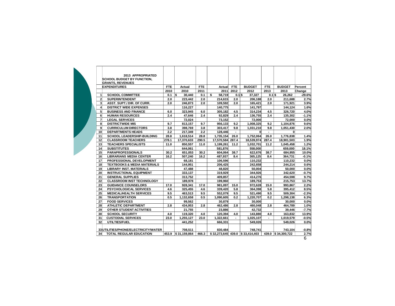|                         | 2013 APPROPRIATED                      |       |                    |       |                  |                |                                   |            |                    |          |
|-------------------------|----------------------------------------|-------|--------------------|-------|------------------|----------------|-----------------------------------|------------|--------------------|----------|
|                         | <b>SCHOOL BUDGET BY FUNCTION,</b>      |       |                    |       |                  |                |                                   |            |                    |          |
|                         | <b>GRANTS, REVENUES</b>                |       |                    |       |                  |                |                                   |            |                    |          |
|                         | <b>EXPENDITURES</b>                    | FTE.  | Actual             | FTE.  | Actual           | <b>FTE</b>     | <b>BUDGET</b>                     | <b>FTE</b> | <b>BUDGET</b>      | Percent  |
|                         |                                        | 2010  | 2010               | 2011  | 2011             | 2012           | 2012                              | 2013       | 2013               | Change   |
| 1                       | <b>SCHOOL COMMITTEE</b>                | 0.1   | ls.<br>30.440      | 0.1   | \$<br>58,719     | $0.1$ s        | 37.327                            | $0.1$ \$   | 26.262             | $-29.6%$ |
| $\overline{\mathbf{c}}$ | <b>SUPERINTENDENT</b>                  | 2.0   | 223.442            | 2.0   | 214.615          | 2.0            | 206,188                           | 2.0        | 211,688            | 2.7%     |
| 3                       | ASST. SUPT./ DIR. OF CURR.             | 2.0   | 246,873            | 2.0   | 109,592          | 2.0            | 165,421                           | 2.0        | 171,921            | 3.9%     |
| $\overline{\mathbf{4}}$ | <b>DISTRICT WIDE EXPENSES</b>          |       | 116.227            |       | 140.775          |                | 141.797                           |            | 144.124            | 1.6%     |
| 5                       | <b>BUSINESS AND FINANCE</b>            | 6.0   | 323,945            | 6.0   | 305,182          | 4.5            | 314,234                           | 4.5        | 326,720            | 4.0%     |
| 6                       | <b>HUMAN RESOURCES</b>                 | 2.4   | 47,646             | 2.4   | 92,829           | 2.4            | 136,755                           | 2.4        | 135,302            | $-1.1%$  |
| $\overline{7}$          | <b>LEGAL SERVICES</b>                  |       | 72.024             |       | 73.152           |                | 72.000                            |            | 72.000             | 0.0%     |
| 8                       | <b>DISTRICTWIDE MIS</b>                | 9.7   | 813.157            | 9.7   | 956.133          | 9.2            | 1.008.325                         | 9.2        | 1.104.876          | 9.6%     |
| $\mathbf{g}$            | <b>CURRICULUM DIRECTORS</b>            | 3.8   | 398.769            | 3.8   | 303.417          | 9.8            | 1.031.210                         | 9.8        | 1.051.430          | 2.0%     |
| 10                      | <b>DEPARTMENTS HEADS</b>               | 2.2   | 217.349            | 2.2   | 128,446          | $\blacksquare$ | 0                                 | $\sim$     | 0                  |          |
| 11                      | <b>SCHOOL LEADERSHIP-BUILDING</b>      | 28.8  | 1,618,514          | 28.8  | 1,735,154        | 26.0           | 1.752.064                         | 26.0       | 1.776.838          | 1.4%     |
| 12                      | <b>CLASSROOM TEACHERS</b>              | 278.1 | 17,370,633         | 290.5 | 17,570,584 287.4 |                | 18.539.974                        | 287.4      | 18,901,503         | 1.9%     |
| 13                      | <b>TEACHERS SPECIALISTS</b>            | 11.0  | 850.557            | 11.0  | 1,199,261        | 11.2           | 1,032,701                         | 11.2       | 1,045,458          | 1.2%     |
| 14                      | <b>SUBSTITUTES</b>                     |       | 644.061            |       | 581,876          |                | 558,000                           |            | 659.000            | 18.1%    |
| 15                      | <b>PARAPROFESSIONALS</b>               | 30.2  | 651,053            | 30.2  | 604,064          | 38.7           | 622,676                           | 38.7       | 684,955            | 10.0%    |
| 16                      | <b>LIBRARIANS MEDIA CENTER</b>         | 16.2  | 507.240            | 16.2  | 487,937          | 8.4            | 365,125                           | 8.4        | 364,731            | $-0.1%$  |
| 17                      | PROFESSIONAL DEVELOPMENT               |       | 68,181             |       | 106,596          |                | 110,232                           |            | 110,232            | 0.0%     |
| 18                      | <b>TEXTBOOKS &amp; MEDIA MATERIALS</b> |       | 144,951            |       | 206,425          |                | 242,658                           |            | 244,214            | 0.6%     |
| 19                      | <b>LIBRARY INST. MATERIALS</b>         |       | 47,488             |       | 48,820           |                | 50,004                            |            | 50,000             | 0.0%     |
| 20                      | <b>INSTRUCTIONAL EQUIPMENT</b>         |       | 333.137            |       | 319.929          |                | 344.926                           |            | 342.620            | $-0.7%$  |
| 21                      | <b>GENERAL SUPPLIES</b>                |       | 313,752            |       | 409,857          |                | 414,276                           |            | 454,598            | 9.7%     |
| 22                      | <b>CLASSROOM INST TECHNOLOGY</b>       |       | 189,978            |       | 199,960          |                | 189,753                           |            | 215,753            | 13.7%    |
| 23                      | <b>GUIDANCE COUNSELORS</b>             | 17.0  | 928.341            | 17.0  | 981.097          | 15.0           | 972.628                           | 15.0       | 993.867            | 2.2%     |
| 24                      | <b>PSYCHOLOGICAL SERVICES</b>          | 4.6   | 325.455            | 4.6   | 339.420          | 5.8            | 364.398                           | 5.8        | 395,412            | 8.5%     |
| 25                      | <b>MEDICAL/HEALTH SERVICES</b>         | 9.5   | 463.513            | 9.5   | 552.079          | 9.5            | 521,490                           | 9.5        | 509,304            | $-2.3%$  |
| 26                      | <b>TRANSPORTATION</b>                  | 0.5   | 1,132,658          | 0.5   | 1,090,605        | 0.2            | 1.220.707                         | 0.2        | 1,298,138          | 6.3%     |
| 27                      | <b>FOOD SERVICES</b>                   |       | 99,562             |       | 30,879           |                | 30.000                            |            | 30.000             | 0.0%     |
| 28                      | ATHLETIC DEPARTMENT                    | 2.8   | 434.953            | 2.8   | 462,486          | 2.8            | 460.048                           | 2.8        | 464.789            | 1.0%     |
| 29                      | OTHER STUDENT ACTIVITIES               |       | 21,755             |       | 23,886           |                | 42,732                            |            | 39,446             | $-7.7%$  |
| 30                      | <b>SCHOOL SECURITY</b>                 | 4.0   | 119,320            | 4.0   | 120,394          | 4.0            | 143,880                           | 4.0        | 163,832            | 13.9%    |
| 31                      | <b>CUSTODIAL SERVICES</b>              | 23.0  | 1,255,127          | 23.0  | 1,322,661        | $\sim$         | 1,025,107                         | $\sim$     | 1,019,579          | $-0.5%$  |
| 32                      | UTILTIES/FUEL                          |       | 441,252            |       | 666,331          |                | 549,026                           |            | 549.026            | 0.0%     |
|                         |                                        |       |                    |       |                  |                |                                   |            |                    |          |
|                         | 33UTILITIES/PHONE/ELECTRICITY/WATER    |       | 708.511            |       | 830.484          |                | 748.741                           |            | 743.104            | $-0.8%$  |
| 34                      | <b>TOTAL REGULAR EDUCATION</b>         |       | 453.9 \$31,159,864 | 466.3 |                  |                | $$32,273,645$ 439.0 $$33,414,403$ |            | 439.0 \$34,300.722 | 2.7%     |
|                         |                                        |       |                    |       |                  |                |                                   |            |                    | 6        |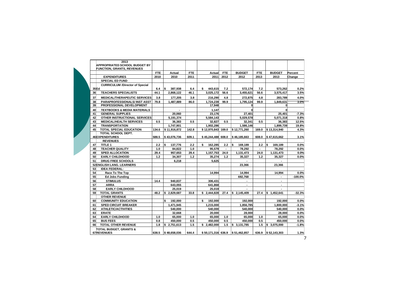|      | <b>APPROPRIATED SCHOOL BUDGET BY</b><br><b>FUNCTION, GRANTS, REVENUES</b> | <b>FTE</b> | Actual              | <b>FTE</b>       | Actual             | <b>FTE</b>     | <b>BUDGET</b>            | <b>FTE</b> | <b>BUDGET</b>            | Percent   |
|------|---------------------------------------------------------------------------|------------|---------------------|------------------|--------------------|----------------|--------------------------|------------|--------------------------|-----------|
|      | <b>EXPENDITURES</b>                                                       | 2010       | 2010                | 2011             | 2011               | 2012           | 2012                     | 2013       | 2013                     | Change    |
|      | <b>SPECIAL ED FUND</b>                                                    |            |                     |                  |                    |                |                          |            |                          |           |
| 35Ed | <b>CURRICULUM /Director of Special</b>                                    | 6.4        | <b>S</b><br>387.938 | 6.4              | s.<br>443.615      | 7.2            | 572.174                  | 7.2        | 573.262                  | 0.2%      |
| 36   | <b>TEACHERS SPECIALISTS</b>                                               | 44.1       | 2,868,122           | 46.1             | 3,025,172          | 56.6           | 3,455,621                | 56.6       | 3,575,417                | 3.5%      |
| 37   | <b>MEDICAL/THERAPEUTIC SERVICES</b>                                       | 3.8        | 177.205             | 3.8              | 216.290            | 4.8            | 272.875                  | 4.8        | 283.789                  | 4.0%      |
| 38   | <b>PARAPROFESSIONALS/INST ASST</b>                                        | 79.8       | 1.487.889           | 86.0             | 1.724.239          | 99.9           | 1.795.124                | 99.9       | 1.849.631                | 3.0%      |
| 39   | PROFESSIONAL DEVELOPMENT                                                  |            |                     |                  | 17,948             |                | 0                        |            | 0                        |           |
| 40   | <b>TEXTBOOKS &amp; MEDIA MATERIALS</b>                                    |            |                     |                  | 1.147              |                | $\mathbf{0}$             |            | O                        |           |
| 41   | <b>GENERAL SUPPLIES</b>                                                   |            | 20.060              |                  | 23.176             |                | 27,401                   |            | 25,401                   | $-7.3%$   |
| 42   | OTHER INSTRUCTIONAL SERVICES                                              |            | 5,191,374           |                  | 5,584,143          |                | 5.029.578                |            | 5,071,318                | 0.8%      |
| 43   | <b>MEDICAL/HEALTH SERVICES</b>                                            | 0.5        | 36.383              | 0.5              | 32.827             | 0.5            | 32.341                   | 0.5        | 36.383                   | 12.5%     |
| 44   | <b>TRANSPORTATION</b>                                                     |            | 1,747,901           |                  | 1,902,286          |                | 1.586.146                |            | 1.899.739                | 19.8%     |
| 45   | <b>TOTAL SPECIAL EDUCATION</b>                                            | 134.6      | \$11.916.872        | 142.8            | \$12.970.843 169.0 |                | \$12,771.260             | 169.0      | \$13.314.940             | 4.3%      |
|      | TOTAL SCHOOL DEPT.<br><b>46EXPENDITURES</b>                               | 588.5      | \$43.076.736        | 609.1            | \$45.244.488 608.0 |                | \$46.185.663             | 608.0      | \$47.615.662             | 3.1%      |
|      | <b>REVENUES</b>                                                           |            |                     |                  |                    |                |                          |            |                          |           |
| 47   | TITLE 1                                                                   | 2.2        | <b>S</b><br>137,776 | $2.2\phantom{0}$ | \$<br>162,285      | $2.2\,$        | S.<br>169,189            | 2.2        | \$<br>169,189            | 0.0%      |
| 48   | <b>TEACHER QUALITY</b>                                                    | 1.0        | 84,822              | 1.0              | 95,579             | $\blacksquare$ | 78,292                   | $\sim$     | 78,292                   | 0.0%      |
| 49   | <b>SPED ALLOCATION</b>                                                    | 29.4       | 957.653             | 29.4             | 1,157,753          | 24.0           | 1,131,473                | 24.0       | 1,131,473                | 0.0%      |
| 50   | <b>EARLY CHILDHOOD</b>                                                    | 1.2        | 34,307              | $1.2$            | 35,274             | 1.2            | 35,327                   | 1.2        | 35,327                   | 0.0%      |
| 51   | <b>DRUG FREE SCHOOLS</b>                                                  |            | 6.218               |                  | 5.625              |                | ٠                        |            | $\blacksquare$           |           |
|      | 52ENGLISH LANG. LEARNERS                                                  |            |                     |                  |                    |                | 23,366                   |            | 23.366                   |           |
| 53   | <b>IDEA FEDERAL:</b>                                                      |            |                     |                  |                    |                |                          |            |                          |           |
| 54   | Race To The Top                                                           |            |                     |                  | 14.994             |                | 14.994                   |            | 14.994                   | 0.0%      |
| 55   | <b>Ed Jobs Funding</b>                                                    |            |                     |                  |                    |                | 692.768                  |            | $\overline{\phantom{a}}$ | $-100.0%$ |
| 56   | <b>STIMULUS</b>                                                           | 14.4       | 940.837             |                  | 306.431            |                | ٠                        |            |                          |           |
| 57   | <b>ARRA</b>                                                               |            | 643,055             |                  | 641,868            |                | $\overline{\phantom{a}}$ |            |                          |           |
| 58   | <b>EARLY CHILDHOOD</b>                                                    |            | 25.019              |                  | 25.019             |                | ٠                        |            | $\overline{\phantom{a}}$ |           |
| 59   | <b>TOTAL GRANTS</b>                                                       | 48.2       | \$2,829,687         | 33.8             | \$2,444,828        | 27.4           | \$2,145,409              | 27.4       | \$1,452,641              | $-32.3%$  |
| 60   | <b>OTHER REVENUE</b><br><b>COMMUNITY EDUCATION</b>                        |            | \$<br>192,000       |                  | \$<br>192,000      |                | 192.000                  |            | 192.000                  | 0.0%      |
| 61   | <b>SPED CIRCUIT BREAKER</b>                                               |            | 1,471,945           |                  | 1,215,000          |                | 1,856,785                |            | 1,800,000                | $-3.1%$   |
| 62   | <b>ATHLETIC/ACTIVITIES</b>                                                |            | 540.000             |                  | 540.000            |                | 540.000                  |            | 540.000                  | 0.0%      |
| 63   | <b>ERATE</b>                                                              |            | 32.668              |                  | 20.000             |                | 28.000                   |            | 28.000                   | 0.0%      |
| 64   | <b>EARLY CHILDHOOD</b>                                                    | 1.0        | 65.000              | 1.0              | 65.000             | 1.0            | 65.000                   | 1.0        | 65.000                   | 0.0%      |
| 65   | <b>BUS FEES</b>                                                           | 0.8        | 450.000             | 0.5              | 450.000            | 0.5            | 450.000                  | 0.5        | 450.000                  | 0.0%      |
| 66   | <b>TOTAL OTHER REVENUE</b>                                                | 1.8        | \$2,751,613         | 1.5              | \$2,482,000        | 1.5            | \$3,131,785              | 1.5        | \$3,075,000              | $-1.8%$   |
|      | TOTAL BUDGET, GRANTS &<br>67REVENUES                                      | 638.5      | \$48,658,036        | 644.4            | \$50.171.316 636.9 |                | \$51.462.857             | 636.9      | \$52,143,303             | 1.3%      |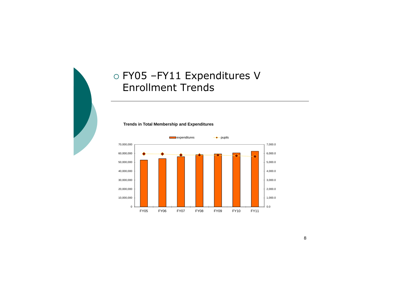

## FY05 –FY11 Expenditures V Enrollment Trends



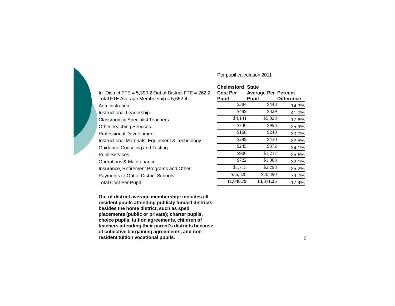#### Per pupil calculation 2011

| In-District FTE = $5,390.2$ Out of District FTE = $262.2$<br>Total FTE Average Membership = 5,652.4 | <b>Chelmsford State</b><br><b>Cost Per</b><br><b>Pupil</b> | <b>Average Per Percent</b><br><b>Pupil</b> | <b>Difference</b> |
|-----------------------------------------------------------------------------------------------------|------------------------------------------------------------|--------------------------------------------|-------------------|
| Administration                                                                                      | \$384                                                      | \$448                                      | $-14.3%$          |
| Instructional Leadership                                                                            | \$489                                                      | \$829                                      | $-41.0%$          |
| Classroom & Specialist Teachers                                                                     | \$4,141                                                    | \$5,023                                    | $-17.6%$          |
| <b>Other Teaching Services</b>                                                                      | \$736                                                      | \$993                                      | $-25.9%$          |
| <b>Professional Development</b>                                                                     | \$168                                                      | \$240                                      | $-30.0%$          |
| Instructional Materials, Equipment & Technology                                                     | \$289                                                      | \$430                                      | $-32.8%$          |
| Guidance, Couseling and Testing                                                                     | \$245                                                      | \$372                                      | $-34.1%$          |
| <b>Pupil Services</b>                                                                               | \$906                                                      | \$1,217                                    | $-25.6%$          |
| Operations & Maintenance                                                                            | \$722                                                      | \$1,063                                    | $-32.1%$          |
| Insurance, Retirement Programs and Other                                                            | \$1,715                                                    | \$2,293                                    | $-25.2%$          |
| Payments to Out of District Schools                                                                 | \$36,828                                                   | \$20,490                                   | 79.7%             |
| <b>Total Cost Per Pupil</b>                                                                         | 11,048.79                                                  | 13,371.25                                  | $-17.4%$          |

**Out of district average membership: includes all resident pupils attending publicly funded districts besides the home district, such as sped placements (public or private); charter pupils, choice pupils, tuition agreements, children of teachers attending their parent's districts because of collective bargaining agreements, and nonresident tuition vocational pupils.**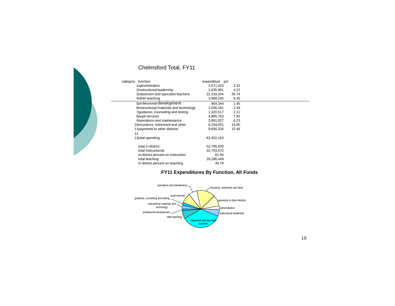| function<br>category                    | expenditure pct |       |  |
|-----------------------------------------|-----------------|-------|--|
| 1administration                         | 2,071,420       | 3.32  |  |
| 2instructional leadership               | 2,635,981       | 4.22  |  |
| 3classroom and specialist teachers      | 22,318,204      | 35.74 |  |
| 4 other teaching                        | 3,968,245       | 6.35  |  |
| 5professional development               | 904,344         | 1.45  |  |
| 6instructional materials and technology | 1,556,281       | 2.49  |  |
| 7 guidance, counseling and testing      | 1,320,517       | 2.11  |  |
| 8pupil services                         | 4,885,763       | 7.82  |  |
| 9 operations and maintenance            | 3,891,027       | 6.23  |  |
| 10insurance, retirement and other       | 9,244,051       | 14.80 |  |
| 11 payments to other districts          | 9,656,330       | 15.46 |  |
| 12                                      |                 |       |  |
| 13total spending                        | 62,452,163      |       |  |
| total in-district                       | 52,795,833      |       |  |
| total instructional                     | 32,703,572      |       |  |
| in-district percent on instruction      | 61.94           |       |  |
| total teaching                          | 26,286,449      |       |  |
| in-district percent on teaching         | 49.79           |       |  |

### Chelmsford Total, FY11

#### **FY11 Expenditures By Function, All Funds**

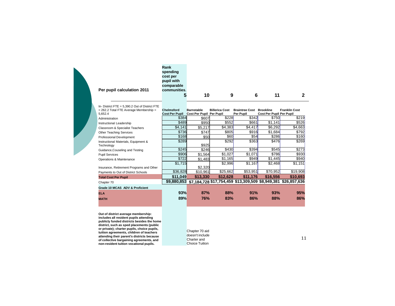| Per pupil calculation 2011                         | Rank<br>spending<br>cost per<br>pupil with<br>comparable<br>communities.<br>5 | 10                              | 9                     | 6                                                              | 11                       | 2                    |
|----------------------------------------------------|-------------------------------------------------------------------------------|---------------------------------|-----------------------|----------------------------------------------------------------|--------------------------|----------------------|
| In- District FTE = $5.390.2$ Out of District FTE   |                                                                               |                                 |                       |                                                                |                          |                      |
| $= 262.2$ Total FTE Average Membership $=$         | <b>Chelmsford</b>                                                             | <b>Barnstable</b>               | <b>Billerica Cost</b> | <b>Braintree Cost</b>                                          | <b>Brookline</b>         | <b>Franklin Cost</b> |
| 5,652.4                                            | <b>Cost Per Pupil</b>                                                         | <b>Cost Per Pupil Per Pupil</b> |                       | Per Pupil                                                      | Cost Per Pupil Per Pupil |                      |
| Administration                                     | \$384                                                                         | \$607                           | \$228                 | \$342                                                          | \$750                    | \$219                |
| Instructional Leadership                           | \$489                                                                         | \$950                           | \$552                 | \$661                                                          | $\sqrt{$1,141}$          | \$526                |
| Classroom & Specialist Teachers                    | \$4,141                                                                       | \$5,217                         | \$4,383               | \$4,417                                                        | \$6,292                  | \$4,663              |
| Other Teaching Services                            | \$736                                                                         | \$747                           | \$805                 | \$916                                                          | \$1,684                  | \$792                |
| Professional Development                           | \$168                                                                         | \$50                            | \$60                  | \$54                                                           | \$286                    | \$160                |
| Instructional Materials, Equipment &<br>Technology | \$289                                                                         | \$925                           | \$292                 | \$363                                                          | \$476                    | \$269                |
| Guidance, Couseling and Testing                    | \$245                                                                         | \$246                           | \$430                 | \$394                                                          | \$545                    | \$273                |
| <b>Pupil Services</b>                              | \$906                                                                         | \$1,564                         | \$1,027               | \$1,071                                                        | \$786                    | \$930                |
| Operations & Maintenance                           | \$722                                                                         | \$1,483                         | \$1,165               | \$949                                                          | \$1,445                  | \$940                |
|                                                    | \$1,715                                                                       |                                 | \$2,996               | \$1,167                                                        | \$2,468                  | \$1,151              |
| Insurance, Retirement Programs and Other           |                                                                               | \$2,320                         |                       |                                                                |                          |                      |
| Payments to Out of District Schools                | \$36,828                                                                      | \$10,961                        | \$25,662              | \$53,951                                                       | \$70,952                 | \$19,908             |
| <b>Total Cost Per Pupil</b>                        | \$11,049                                                                      | \$13,330                        | \$12,628              | \$11,176                                                       | \$16,556                 | \$10,693             |
| Chapter 70                                         | \$9,880,853                                                                   |                                 |                       | \$7,184,728 \$17,754,459 \$13,309,509 \$8,949,381 \$26,857,636 |                          |                      |
| Grade 10 MCAS ADV & Proficient                     |                                                                               |                                 |                       |                                                                |                          |                      |
| <b>ELA</b>                                         | 93%                                                                           | 87%                             | 88%                   | 91%                                                            | 93%                      | 95%                  |
| <b>MATH</b>                                        | 89%                                                                           | <b>76%</b>                      | 83%                   | 86%                                                            | 88%                      | 86%                  |

Out of district average membership:<br>includes all resident pupils attending<br>publicly funded districts besides the home<br>district, such as sped placements (public<br>or private); charter pupils, choice pupils,<br>tuition agreements

Chapter 70 aid doesn't include Charter and Choice Tuition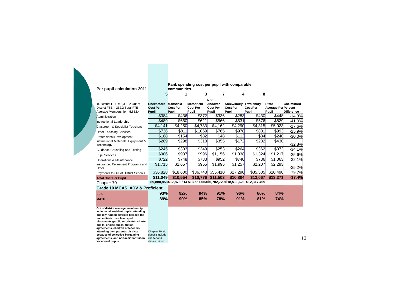#### **Per pupil calculation 2011**

#### **Rank spending cost per pupil with comparable communities.**

|   | ________ |  |  |
|---|----------|--|--|
| 5 |          |  |  |

|                                                    |                   |                  |                 | <b>North</b>    |                 |                                                                             |                            |                   |
|----------------------------------------------------|-------------------|------------------|-----------------|-----------------|-----------------|-----------------------------------------------------------------------------|----------------------------|-------------------|
| In- District FTE = $5,390.2$ Out of                | <b>Chelmsford</b> | <b>Mansfield</b> | Marshfield      | Andover         | Shrewsbury      | Tewksburv                                                                   | <b>State</b>               | Chelmsford        |
| District $FTE = 262.2$ Total FTE                   | <b>Cost Per</b>   | <b>Cost Per</b>  | <b>Cost Per</b> | <b>Cost Per</b> | <b>Cost Per</b> | <b>Cost Per</b>                                                             | <b>Average Per Percent</b> |                   |
| Average Membership = 5,652.4                       | Pupil             | Pupil            | Pupil           | Pupil           | Pupil           | Pupil                                                                       | Pupil                      | <b>Difference</b> |
| Administration                                     | \$384             | \$436            | \$372           | \$336           | \$283           | \$430                                                                       | \$448                      | $-14.3%$          |
| <b>Instructional Leadership</b>                    | \$489             | \$660            | \$621           | \$566           | \$631           | \$576                                                                       | \$829                      | $-41.0%$          |
| <b>Classroom &amp; Specialist Teachers</b>         | \$4,141           | \$4,250          | \$4,733         | \$4,162         | \$4,290         | \$4,315                                                                     | \$5,023                    | $-17.6%$          |
| <b>Other Teaching Services</b>                     | \$736             | \$811            | \$1,069         | \$765           | \$978           | \$801                                                                       | \$993                      | $-25.9%$          |
| Professional Development                           | \$168             | \$154            | \$32            | \$48            | \$112           | \$84                                                                        | \$240                      | $-30.0%$          |
| Instructional Materials, Equipment &<br>Technology | \$289             | \$298            | \$318           | \$355           | \$172           | \$282                                                                       | \$430                      | $-32.8%$          |
| Guidance, Couseling and Testing                    | \$245             | \$303            | \$349           | \$253           | \$264           | \$362                                                                       | \$372                      | $-34.1%$          |
| <b>Pupil Services</b>                              | \$906             | \$937            | \$996           | \$1,156         | \$1,038         | \$1,324                                                                     | \$1,217                    | $-25.6%$          |
| Operations & Maintenance                           | \$722             | \$748            | \$783           | \$952           | \$740           | \$736                                                                       | \$1,063                    | $-32.1%$          |
| Insurance, Retirement Programs and<br>Other        | \$1,715           | \$1,657          | <b>\$955</b>    | \$1,995         | \$1,257         | \$2,207                                                                     | \$2,293                    | $-25.2%$          |
| Payments to Out of District Schools                | \$36,828          | \$18,600         | \$36,743        | \$55,410        | \$27,290        | \$35,505                                                                    | \$20,490                   | 79.7%             |
| <b>Total Cost Per Pupil</b>                        | \$11.049          | \$10.554         | \$10,776        | \$11,503        | \$10,804        | \$12,067                                                                    | \$13,371                   | $-17.4%$          |
| Chapter 70                                         |                   |                  |                 |                 |                 | \$9,880,853 \$17,873,614 \$13,567,053 \$6,702,729 \$18,511,623 \$12,317,499 |                            |                   |
| Grade 10 MCAS ADV & Proficient                     |                   |                  |                 |                 |                 |                                                                             |                            |                   |
| <b>ELA</b>                                         | 93%               | 92%              | 94%             | 91%             | 96%             | 86%                                                                         | 84%                        |                   |
| <b>MATH</b>                                        | 89%               | 90%              | 85%             | 78%             | 91%             | 81%                                                                         | 74%                        |                   |

**Out of district average membership: includes all resident pupils attending publicly funded districts besides the home district, such as sped placements (public or private); charter pupils, choice pupils, tuition agreements, children of teachers attending their parent's districts because of collective bargaining** doesn't includ<br>agreements, and non-resident tuition charter and<br>vocational pupils. **Charter and charter** tuition. Chapter 70 aid doesn't include